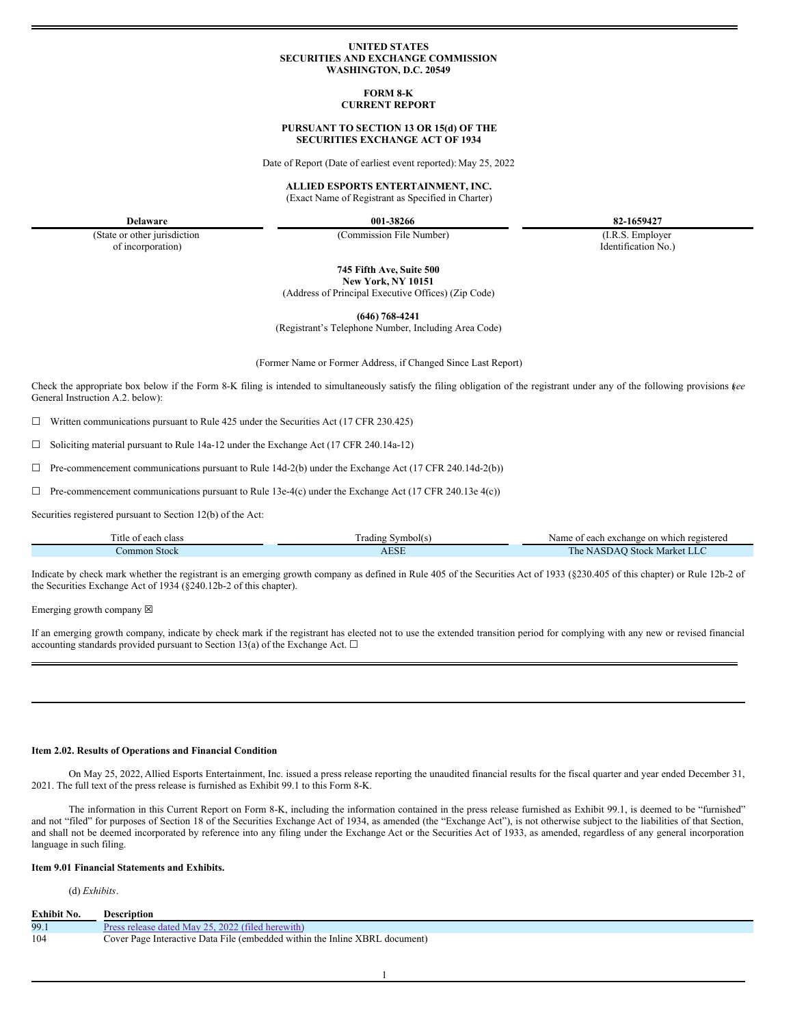### **UNITED STATES SECURITIES AND EXCHANGE COMMISSION WASHINGTON, D.C. 20549**

#### **FORM 8-K CURRENT REPORT**

# **PURSUANT TO SECTION 13 OR 15(d) OF THE SECURITIES EXCHANGE ACT OF 1934**

Date of Report (Date of earliest event reported): May 25, 2022

#### **ALLIED ESPORTS ENTERTAINMENT, INC.**

(Exact Name of Registrant as Specified in Charter)

**Delaware 001-38266 82-1659427**

(State or other jurisdiction of incorporation)

(Commission File Number) (I.R.S. Employer

Identification No.)

**745 Fifth Ave, Suite 500**

**New York, NY 10151** (Address of Principal Executive Offices) (Zip Code)

**(646) 768-4241**

(Registrant's Telephone Number, Including Area Code)

(Former Name or Former Address, if Changed Since Last Report)

Check the appropriate box below if the Form 8-K filing is intended to simultaneously satisfy the filing obligation of the registrant under any of the following provisions (*see* General Instruction A.2. below):

☐ Written communications pursuant to Rule 425 under the Securities Act (17 CFR 230.425)

 $\Box$  Soliciting material pursuant to Rule 14a-12 under the Exchange Act (17 CFR 240.14a-12)

 $\Box$  Pre-commencement communications pursuant to Rule 14d-2(b) under the Exchange Act (17 CFR 240.14d-2(b))

 $\Box$  Pre-commencement communications pursuant to Rule 13e-4(c) under the Exchange Act (17 CFR 240.13e 4(c))

Securities registered pursuant to Section 12(b) of the Act:

| l'itle of (<br>class<br>each | $\overline{\phantom{a}}$<br>radıng<br>Symbol(s) | Name of each exchange on which registered          |
|------------------------------|-------------------------------------------------|----------------------------------------------------|
| Stock<br>common              | <b>AESE</b>                                     | The.<br>Market<br><b>Stock</b><br>$\sim$<br>NASDAO |

Indicate by check mark whether the registrant is an emerging growth company as defined in Rule 405 of the Securities Act of 1933 (§230.405 of this chapter) or Rule 12b-2 of the Securities Exchange Act of 1934 (§240.12b-2 of this chapter).

Emerging growth company  $\boxtimes$ 

If an emerging growth company, indicate by check mark if the registrant has elected not to use the extended transition period for complying with any new or revised financial accounting standards provided pursuant to Section 13(a) of the Exchange Act.  $\square$ 

# **Item 2.02. Results of Operations and Financial Condition**

On May 25, 2022, Allied Esports Entertainment, Inc. issued a press release reporting the unaudited financial results for the fiscal quarter and year ended December 31, 2021. The full text of the press release is furnished as Exhibit 99.1 to this Form 8-K.

The information in this Current Report on Form 8-K, including the information contained in the press release furnished as Exhibit 99.1, is deemed to be "furnished" and not "filed" for purposes of Section 18 of the Securities Exchange Act of 1934, as amended (the "Exchange Act"), is not otherwise subject to the liabilities of that Section, and shall not be deemed incorporated by reference into any filing under the Exchange Act or the Securities Act of 1933, as amended, regardless of any general incorporation language in such filing.

# **Item 9.01 Financial Statements and Exhibits.**

# (d) *Exhibits*.

| Exhibit No. | Description                                                                 |
|-------------|-----------------------------------------------------------------------------|
| 99.1        | Press release dated May 25, 2022 (filed herewith)                           |
| 104         | Cover Page Interactive Data File (embedded within the Inline XBRL document) |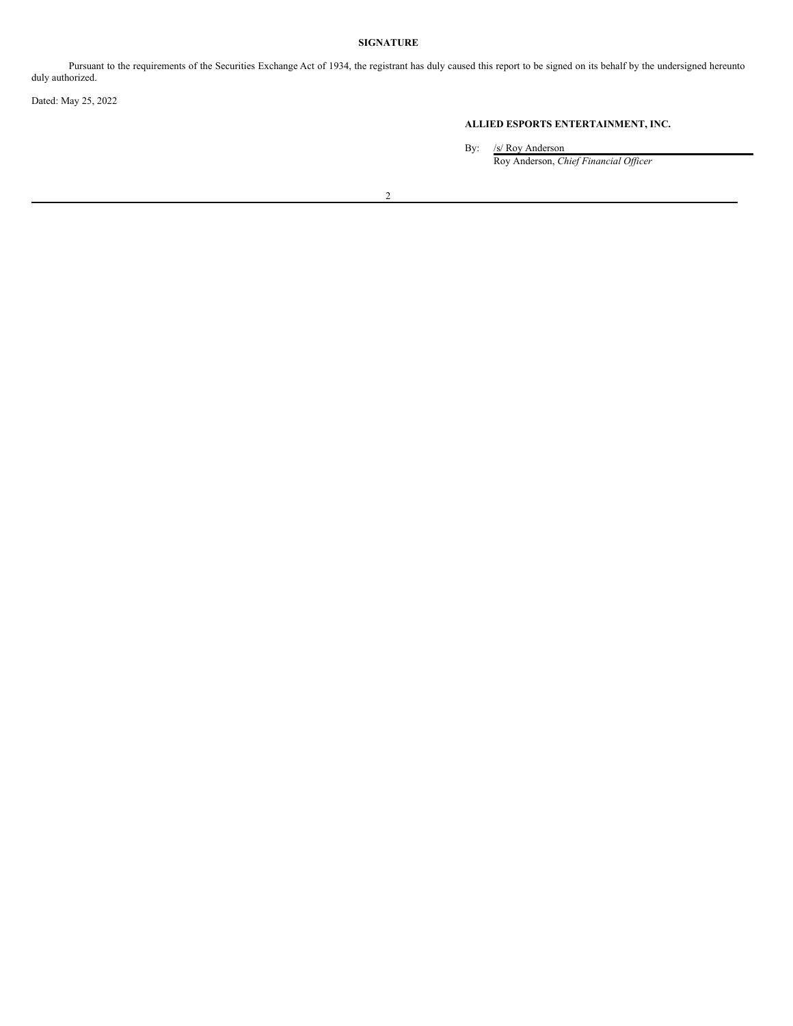# **SIGNATURE**

Pursuant to the requirements of the Securities Exchange Act of 1934, the registrant has duly caused this report to be signed on its behalf by the undersigned hereunto duly authorized.

Dated: May 25, 2022

# **ALLIED ESPORTS ENTERTAINMENT, INC.**

By: /s/ Roy Anderson Roy Anderson, *Chief Financial Of icer*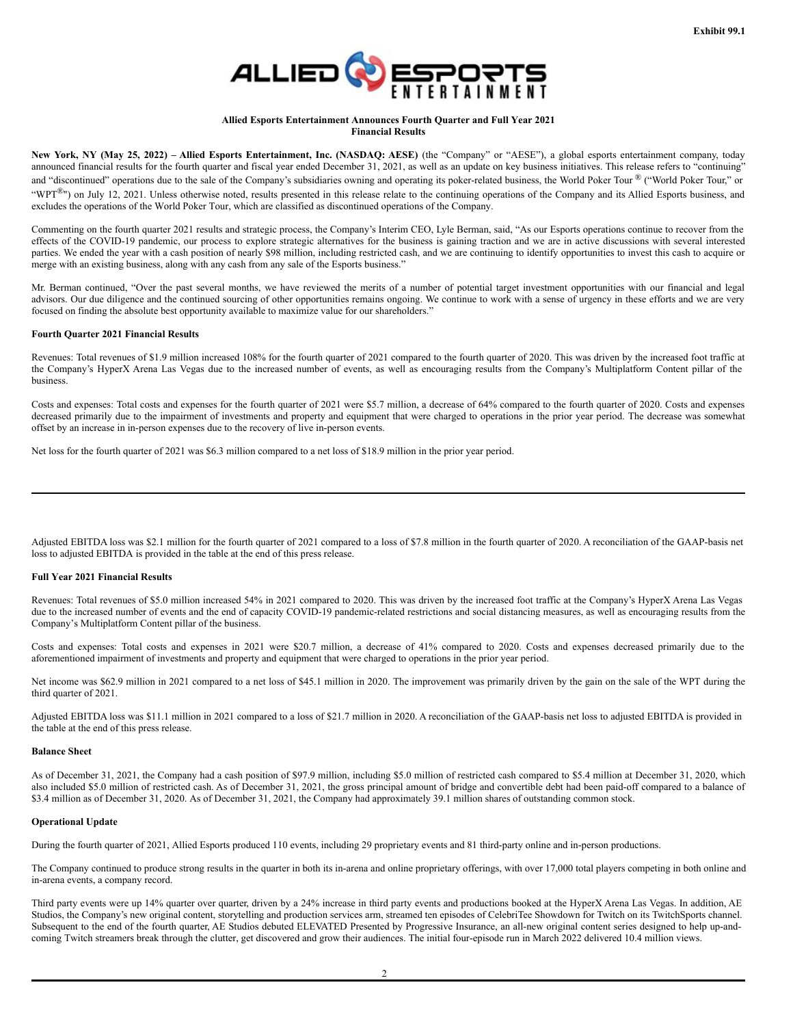

# **Allied Esports Entertainment Announces Fourth Quarter and Full Year 2021 Financial Results**

New York, NY (May 25, 2022) - Allied Esports Entertainment, Inc. (NASDAQ: AESE) (the "Company" or "AESE"), a global esports entertainment company, today announced financial results for the fourth quarter and fiscal year ended December 31, 2021, as well as an update on key business initiatives. This release refers to "continuing" and "discontinued" operations due to the sale of the Company's subsidiaries owning and operating its poker-related business, the World Poker Tour ® ("World Poker Tour," or "WPT<sup>®</sup>") on July 12, 2021. Unless otherwise noted, results presented in this release relate to the continuing operations of the Company and its Allied Esports business, and excludes the operations of the World Poker Tour, which are classified as discontinued operations of the Company.

Commenting on the fourth quarter 2021 results and strategic process, the Company's Interim CEO, Lyle Berman, said, "As our Esports operations continue to recover from the effects of the COVID-19 pandemic, our process to explore strategic alternatives for the business is gaining traction and we are in active discussions with several interested parties. We ended the year with a cash position of nearly \$98 million, including restricted cash, and we are continuing to identify opportunities to invest this cash to acquire or merge with an existing business, along with any cash from any sale of the Esports business."

Mr. Berman continued, "Over the past several months, we have reviewed the merits of a number of potential target investment opportunities with our financial and legal advisors. Our due diligence and the continued sourcing of other opportunities remains ongoing. We continue to work with a sense of urgency in these efforts and we are very focused on finding the absolute best opportunity available to maximize value for our shareholders."

# **Fourth Quarter 2021 Financial Results**

Revenues: Total revenues of \$1.9 million increased 108% for the fourth quarter of 2021 compared to the fourth quarter of 2020. This was driven by the increased foot traffic at the Company's HyperX Arena Las Vegas due to the increased number of events, as well as encouraging results from the Company's Multiplatform Content pillar of the business.

Costs and expenses: Total costs and expenses for the fourth quarter of 2021 were \$5.7 million, a decrease of 64% compared to the fourth quarter of 2020. Costs and expenses decreased primarily due to the impairment of investments and property and equipment that were charged to operations in the prior year period. The decrease was somewhat offset by an increase in in-person expenses due to the recovery of live in-person events.

Net loss for the fourth quarter of 2021 was \$6.3 million compared to a net loss of \$18.9 million in the prior year period.

Adjusted EBITDA loss was \$2.1 million for the fourth quarter of 2021 compared to a loss of \$7.8 million in the fourth quarter of 2020. A reconciliation of the GAAP-basis net loss to adjusted EBITDA is provided in the table at the end of this press release.

#### **Full Year 2021 Financial Results**

Revenues: Total revenues of \$5.0 million increased 54% in 2021 compared to 2020. This was driven by the increased foot traffic at the Company's HyperX Arena Las Vegas due to the increased number of events and the end of capacity COVID-19 pandemic-related restrictions and social distancing measures, as well as encouraging results from the Company's Multiplatform Content pillar of the business.

Costs and expenses: Total costs and expenses in 2021 were \$20.7 million, a decrease of 41% compared to 2020. Costs and expenses decreased primarily due to the aforementioned impairment of investments and property and equipment that were charged to operations in the prior year period.

Net income was \$62.9 million in 2021 compared to a net loss of \$45.1 million in 2020. The improvement was primarily driven by the gain on the sale of the WPT during the third quarter of 2021.

Adjusted EBITDA loss was \$11.1 million in 2021 compared to a loss of \$21.7 million in 2020. A reconciliation of the GAAP-basis net loss to adjusted EBITDA is provided in the table at the end of this press release.

#### **Balance Sheet**

As of December 31, 2021, the Company had a cash position of \$97.9 million, including \$5.0 million of restricted cash compared to \$5.4 million at December 31, 2020, which also included \$5.0 million of restricted cash. As of December 31, 2021, the gross principal amount of bridge and convertible debt had been paid-off compared to a balance of \$3.4 million as of December 31, 2020. As of December 31, 2021, the Company had approximately 39.1 million shares of outstanding common stock.

#### **Operational Update**

During the fourth quarter of 2021, Allied Esports produced 110 events, including 29 proprietary events and 81 third-party online and in-person productions.

The Company continued to produce strong results in the quarter in both its in-arena and online proprietary offerings, with over 17,000 total players competing in both online and in-arena events, a company record.

Third party events were up 14% quarter over quarter, driven by a 24% increase in third party events and productions booked at the HyperX Arena Las Vegas. In addition, AE Studios, the Company's new original content, storytelling and production services arm, streamed ten episodes of CelebriTee Showdown for Twitch on its TwitchSports channel. Subsequent to the end of the fourth quarter, AE Studios debuted ELEVATED Presented by Progressive Insurance, an all-new original content series designed to help up-andcoming Twitch streamers break through the clutter, get discovered and grow their audiences. The initial four-episode run in March 2022 delivered 10.4 million views.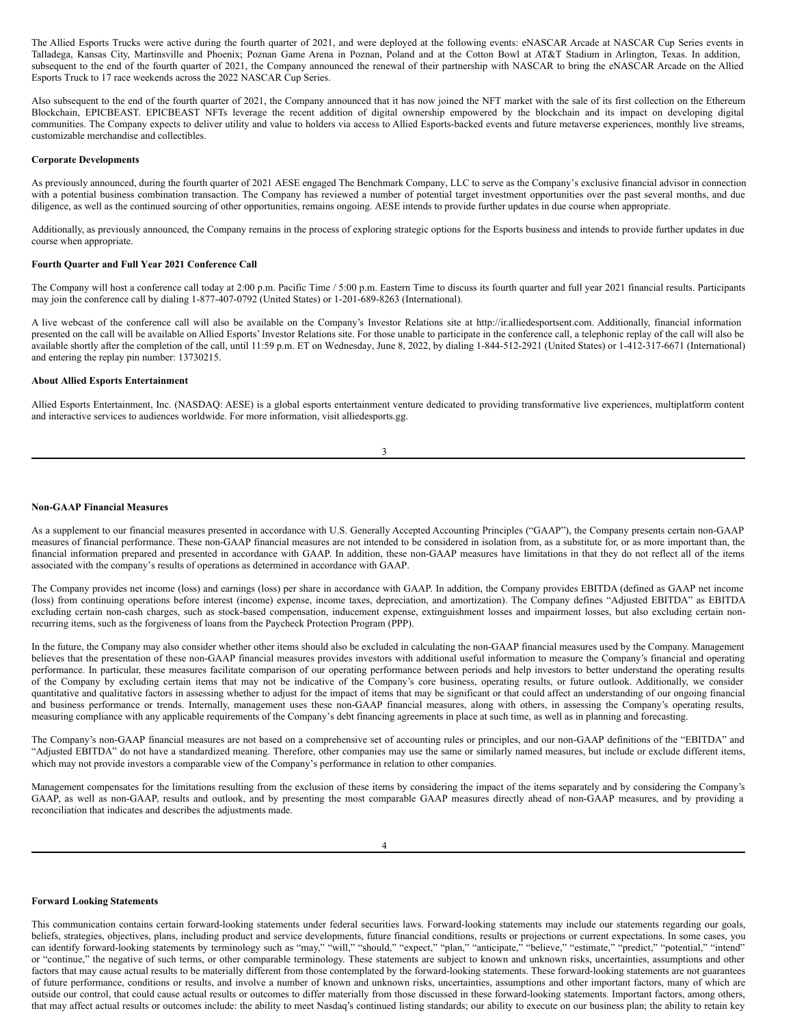The Allied Esports Trucks were active during the fourth quarter of 2021, and were deployed at the following events: eNASCAR Arcade at NASCAR Cup Series events in Talladega, Kansas City, Martinsville and Phoenix; Poznan Game Arena in Poznan, Poland and at the Cotton Bowl at AT&T Stadium in Arlington, Texas. In addition, subsequent to the end of the fourth quarter of 2021, the Company announced the renewal of their partnership with NASCAR to bring the eNASCAR Arcade on the Allied Esports Truck to 17 race weekends across the 2022 NASCAR Cup Series.

Also subsequent to the end of the fourth quarter of 2021, the Company announced that it has now joined the NFT market with the sale of its first collection on the Ethereum Blockchain, EPICBEAST. EPICBEAST NFTs leverage the recent addition of digital ownership empowered by the blockchain and its impact on developing digital communities. The Company expects to deliver utility and value to holders via access to Allied Esports-backed events and future metaverse experiences, monthly live streams, customizable merchandise and collectibles.

#### **Corporate Developments**

As previously announced, during the fourth quarter of 2021 AESE engaged The Benchmark Company, LLC to serve as the Company's exclusive financial advisor in connection with a potential business combination transaction. The Company has reviewed a number of potential target investment opportunities over the past several months, and due diligence, as well as the continued sourcing of other opportunities, remains ongoing. AESE intends to provide further updates in due course when appropriate.

Additionally, as previously announced, the Company remains in the process of exploring strategic options for the Esports business and intends to provide further updates in due course when appropriate.

# **Fourth Quarter and Full Year 2021 Conference Call**

The Company will host a conference call today at 2:00 p.m. Pacific Time / 5:00 p.m. Eastern Time to discuss its fourth quarter and full year 2021 financial results. Participants may join the conference call by dialing 1-877-407-0792 (United States) or 1-201-689-8263 (International).

A live webcast of the conference call will also be available on the Company's Investor Relations site at http://ir.alliedesportsent.com. Additionally, financial information presented on the call will be available on Allied Esports' Investor Relations site. For those unable to participate in the conference call, a telephonic replay of the call will also be available shortly after the completion of the call, until 11:59 p.m. ET on Wednesday, June 8, 2022, by dialing 1-844-512-2921 (United States) or 1-412-317-6671 (International) and entering the replay pin number: 13730215.

#### **About Allied Esports Entertainment**

Allied Esports Entertainment, Inc. (NASDAQ: AESE) is a global esports entertainment venture dedicated to providing transformative live experiences, multiplatform content and interactive services to audiences worldwide. For more information, visit alliedesports.gg.

| I<br>I<br>× |
|-------------|
|             |

# **Non-GAAP Financial Measures**

As a supplement to our financial measures presented in accordance with U.S. Generally Accepted Accounting Principles ("GAAP"), the Company presents certain non-GAAP measures of financial performance. These non-GAAP financial measures are not intended to be considered in isolation from, as a substitute for, or as more important than, the financial information prepared and presented in accordance with GAAP. In addition, these non-GAAP measures have limitations in that they do not reflect all of the items associated with the company's results of operations as determined in accordance with GAAP.

The Company provides net income (loss) and earnings (loss) per share in accordance with GAAP. In addition, the Company provides EBITDA (defined as GAAP net income (loss) from continuing operations before interest (income) expense, income taxes, depreciation, and amortization). The Company defines "Adjusted EBITDA" as EBITDA excluding certain non-cash charges, such as stock-based compensation, inducement expense, extinguishment losses and impairment losses, but also excluding certain nonrecurring items, such as the forgiveness of loans from the Paycheck Protection Program (PPP).

In the future, the Company may also consider whether other items should also be excluded in calculating the non-GAAP financial measures used by the Company. Management believes that the presentation of these non-GAAP financial measures provides investors with additional useful information to measure the Company's financial and operating performance. In particular, these measures facilitate comparison of our operating performance between periods and help investors to better understand the operating results of the Company by excluding certain items that may not be indicative of the Company's core business, operating results, or future outlook. Additionally, we consider quantitative and qualitative factors in assessing whether to adjust for the impact of items that may be significant or that could affect an understanding of our ongoing financial and business performance or trends. Internally, management uses these non-GAAP financial measures, along with others, in assessing the Company's operating results, measuring compliance with any applicable requirements of the Company's debt financing agreements in place at such time, as well as in planning and forecasting.

The Company's non-GAAP financial measures are not based on a comprehensive set of accounting rules or principles, and our non-GAAP definitions of the "EBITDA" and "Adjusted EBITDA" do not have a standardized meaning. Therefore, other companies may use the same or similarly named measures, but include or exclude different items, which may not provide investors a comparable view of the Company's performance in relation to other companies.

Management compensates for the limitations resulting from the exclusion of these items by considering the impact of the items separately and by considering the Company's GAAP, as well as non-GAAP, results and outlook, and by presenting the most comparable GAAP measures directly ahead of non-GAAP measures, and by providing a reconciliation that indicates and describes the adjustments made.

#### **Forward Looking Statements**

This communication contains certain forward-looking statements under federal securities laws. Forward-looking statements may include our statements regarding our goals, beliefs, strategies, objectives, plans, including product and service developments, future financial conditions, results or projections or current expectations. In some cases, you can identify forward-looking statements by terminology such as "may," "will," "should," "expect," "plan," "anticipate," "believe," "estimate," "predict," "potential," "intend" or "continue," the negative of such terms, or other comparable terminology. These statements are subject to known and unknown risks, uncertainties, assumptions and other factors that may cause actual results to be materially different from those contemplated by the forward-looking statements. These forward-looking statements are not guarantees of future performance, conditions or results, and involve a number of known and unknown risks, uncertainties, assumptions and other important factors, many of which are outside our control, that could cause actual results or outcomes to differ materially from those discussed in these forward-looking statements. Important factors, among others, that may affect actual results or outcomes include: the ability to meet Nasdaq's continued listing standards; our ability to execute on our business plan; the ability to retain key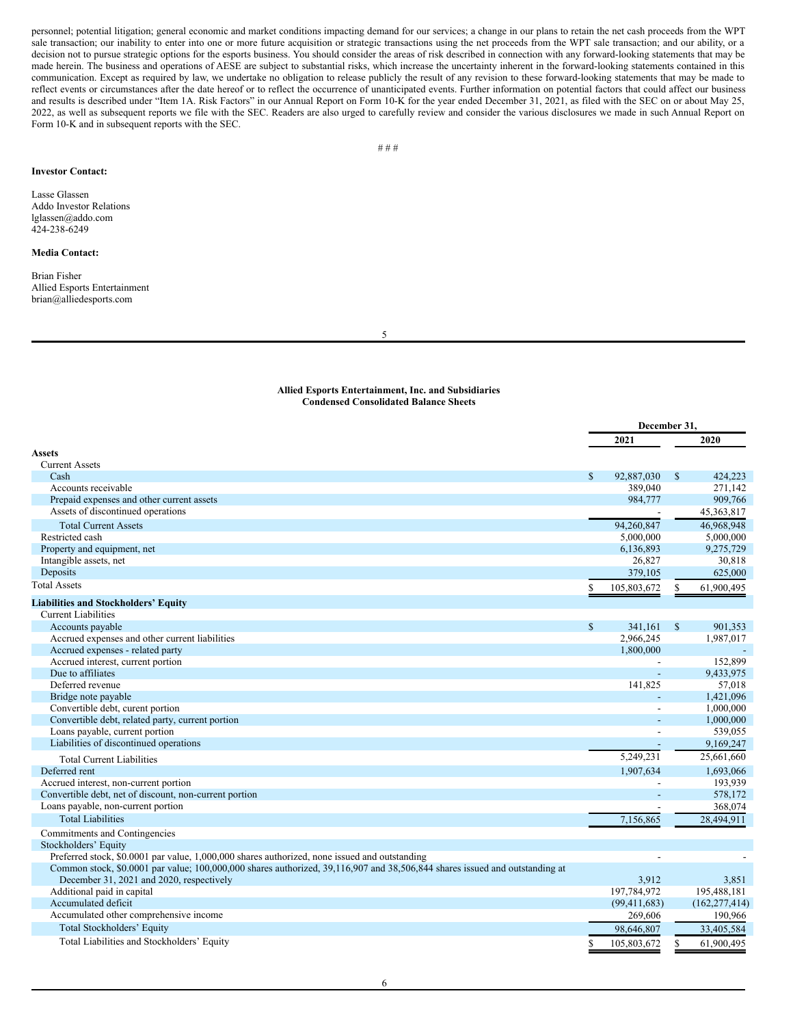<span id="page-4-0"></span>personnel; potential litigation; general economic and market conditions impacting demand for our services; a change in our plans to retain the net cash proceeds from the WPT sale transaction; our inability to enter into one or more future acquisition or strategic transactions using the net proceeds from the WPT sale transaction; and our ability, or a decision not to pursue strategic options for the esports business. You should consider the areas of risk described in connection with any forward-looking statements that may be made herein. The business and operations of AESE are subject to substantial risks, which increase the uncertainty inherent in the forward-looking statements contained in this communication. Except as required by law, we undertake no obligation to release publicly the result of any revision to these forward-looking statements that may be made to reflect events or circumstances after the date hereof or to reflect the occurrence of unanticipated events. Further information on potential factors that could affect our business and results is described under "Item 1A. Risk Factors" in our Annual Report on Form 10-K for the year ended December 31, 2021, as filed with the SEC on or about May 25, 2022, as well as subsequent reports we file with the SEC. Readers are also urged to carefully review and consider the various disclosures we made in such Annual Report on Form 10-K and in subsequent reports with the SEC.

# **Investor Contact:**

Lasse Glassen Addo Investor Relations lglassen@addo.com 424-238-6249

# **Media Contact:**

Brian Fisher Allied Esports Entertainment brian@alliedesports.com

5

# **Allied Esports Entertainment, Inc. and Subsidiaries Condensed Consolidated Balance Sheets**

|                                                                                                                             | December 31, |                |              |                 |
|-----------------------------------------------------------------------------------------------------------------------------|--------------|----------------|--------------|-----------------|
|                                                                                                                             |              | 2021           |              | 2020            |
| Assets                                                                                                                      |              |                |              |                 |
| <b>Current Assets</b>                                                                                                       |              |                |              |                 |
| Cash                                                                                                                        | $\mathbb{S}$ | 92,887,030     | $\mathbb{S}$ | 424,223         |
| Accounts receivable                                                                                                         |              | 389,040        |              | 271,142         |
| Prepaid expenses and other current assets                                                                                   |              | 984,777        |              | 909,766         |
| Assets of discontinued operations                                                                                           |              |                |              | 45, 363, 817    |
| <b>Total Current Assets</b>                                                                                                 |              | 94,260,847     |              | 46,968,948      |
| Restricted cash                                                                                                             |              | 5,000,000      |              | 5,000,000       |
| Property and equipment, net                                                                                                 |              | 6,136,893      |              | 9,275,729       |
| Intangible assets, net                                                                                                      |              | 26,827         |              | 30,818          |
| Deposits                                                                                                                    |              | 379,105        |              | 625,000         |
| <b>Total Assets</b>                                                                                                         |              | 105,803,672    | \$           | 61,900,495      |
| <b>Liabilities and Stockholders' Equity</b>                                                                                 |              |                |              |                 |
| <b>Current Liabilities</b>                                                                                                  |              |                |              |                 |
| Accounts payable                                                                                                            | $\mathbb{S}$ | 341.161        | $\mathbb{S}$ | 901,353         |
| Accrued expenses and other current liabilities                                                                              |              | 2,966,245      |              | 1,987,017       |
| Accrued expenses - related party                                                                                            |              | 1,800,000      |              |                 |
| Accrued interest, current portion                                                                                           |              |                |              | 152,899         |
| Due to affiliates                                                                                                           |              |                |              | 9,433,975       |
| Deferred revenue                                                                                                            |              | 141,825        |              | 57.018          |
| Bridge note payable                                                                                                         |              |                |              | 1,421,096       |
| Convertible debt, curent portion                                                                                            |              |                |              | 1,000,000       |
| Convertible debt, related party, current portion                                                                            |              |                |              | 1,000,000       |
| Loans payable, current portion                                                                                              |              | $\overline{a}$ |              | 539,055         |
| Liabilities of discontinued operations                                                                                      |              |                |              | 9,169,247       |
| <b>Total Current Liabilities</b>                                                                                            |              | 5,249,231      |              | 25,661,660      |
| Deferred rent                                                                                                               |              | 1,907,634      |              | 1,693,066       |
| Accrued interest, non-current portion                                                                                       |              |                |              | 193,939         |
| Convertible debt, net of discount, non-current portion                                                                      |              | $\overline{a}$ |              | 578,172         |
| Loans payable, non-current portion                                                                                          |              |                |              | 368,074         |
| <b>Total Liabilities</b>                                                                                                    |              | 7,156,865      |              | 28.494.911      |
| Commitments and Contingencies                                                                                               |              |                |              |                 |
| Stockholders' Equity                                                                                                        |              |                |              |                 |
| Preferred stock, \$0.0001 par value, 1,000,000 shares authorized, none issued and outstanding                               |              |                |              |                 |
| Common stock, \$0.0001 par value; 100,000,000 shares authorized, 39,116,907 and 38,506,844 shares issued and outstanding at |              |                |              |                 |
| December 31, 2021 and 2020, respectively                                                                                    |              | 3,912          |              | 3,851           |
| Additional paid in capital                                                                                                  |              | 197,784,972    |              | 195,488,181     |
| Accumulated deficit                                                                                                         |              | (99, 411, 683) |              | (162, 277, 414) |
| Accumulated other comprehensive income                                                                                      |              | 269,606        |              | 190,966         |
| Total Stockholders' Equity                                                                                                  |              | 98,646,807     |              | 33,405,584      |
| Total Liabilities and Stockholders' Equity                                                                                  | S            | 105,803,672    | \$           | 61,900,495      |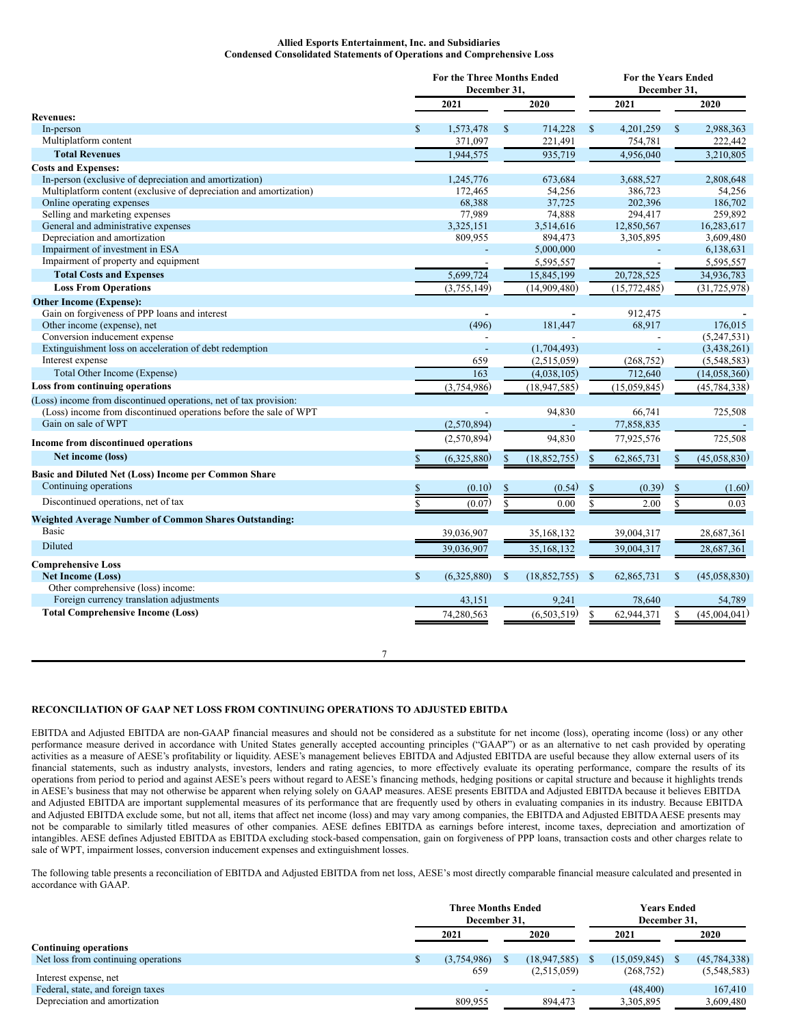# **Allied Esports Entertainment, Inc. and Subsidiaries Condensed Consolidated Statements of Operations and Comprehensive Loss**

|                                                                    |              | <b>For the Three Months Ended</b><br>December 31, |              |                | <b>For the Years Ended</b><br>December 31, |                |              |                |  |
|--------------------------------------------------------------------|--------------|---------------------------------------------------|--------------|----------------|--------------------------------------------|----------------|--------------|----------------|--|
|                                                                    |              | 2021                                              |              | 2020           |                                            | 2021           |              | 2020           |  |
| <b>Revenues:</b>                                                   |              |                                                   |              |                |                                            |                |              |                |  |
| In-person                                                          | S            | 1,573,478                                         | $\mathbb{S}$ | 714,228        | $\mathbb{S}$                               | 4,201,259      | $\mathbb{S}$ | 2,988,363      |  |
| Multiplatform content                                              |              | 371,097                                           |              | 221,491        |                                            | 754,781        |              | 222,442        |  |
| <b>Total Revenues</b>                                              |              | 1,944,575                                         |              | 935,719        |                                            | 4,956,040      |              | 3,210,805      |  |
| <b>Costs and Expenses:</b>                                         |              |                                                   |              |                |                                            |                |              |                |  |
| In-person (exclusive of depreciation and amortization)             |              | 1,245,776                                         |              | 673,684        |                                            | 3,688,527      |              | 2,808,648      |  |
| Multiplatform content (exclusive of depreciation and amortization) |              | 172,465                                           |              | 54,256         |                                            | 386,723        |              | 54.256         |  |
| Online operating expenses                                          |              | 68,388                                            |              | 37,725         |                                            | 202,396        |              | 186,702        |  |
| Selling and marketing expenses                                     |              | 77,989                                            |              | 74,888         |                                            | 294,417        |              | 259,892        |  |
| General and administrative expenses                                |              | 3,325,151                                         |              | 3,514,616      |                                            | 12,850,567     |              | 16,283,617     |  |
| Depreciation and amortization                                      |              | 809,955                                           |              | 894,473        |                                            | 3,305,895      |              | 3,609,480      |  |
| Impairment of investment in ESA                                    |              |                                                   |              | 5,000,000      |                                            |                |              | 6,138,631      |  |
| Impairment of property and equipment                               |              |                                                   |              | 5,595,557      |                                            |                |              | 5,595,557      |  |
| <b>Total Costs and Expenses</b>                                    |              | 5,699,724                                         |              | 15,845,199     |                                            | 20,728,525     |              | 34,936,783     |  |
| <b>Loss From Operations</b>                                        |              | (3,755,149)                                       |              | (14,909,480)   |                                            | (15, 772, 485) |              | (31, 725, 978) |  |
| <b>Other Income (Expense):</b>                                     |              |                                                   |              |                |                                            |                |              |                |  |
| Gain on forgiveness of PPP loans and interest                      |              |                                                   |              |                |                                            | 912,475        |              |                |  |
| Other income (expense), net                                        |              | (496)                                             |              | 181,447        |                                            | 68,917         |              | 176,015        |  |
| Conversion inducement expense                                      |              |                                                   |              |                |                                            | $\overline{a}$ |              | (5,247,531)    |  |
| Extinguishment loss on acceleration of debt redemption             |              |                                                   |              | (1,704,493)    |                                            |                |              | (3,438,261)    |  |
| Interest expense                                                   |              | 659                                               |              | (2,515,059)    |                                            | (268, 752)     |              | (5,548,583)    |  |
| Total Other Income (Expense)                                       |              | 163                                               |              | (4,038,105)    |                                            | 712,640        |              | (14,058,360)   |  |
| Loss from continuing operations                                    |              | (3,754,986)                                       |              | (18, 947, 585) |                                            | (15,059,845)   |              | (45, 784, 338) |  |
| (Loss) income from discontinued operations, net of tax provision:  |              |                                                   |              |                |                                            |                |              |                |  |
| (Loss) income from discontinued operations before the sale of WPT  |              |                                                   |              | 94,830         |                                            | 66,741         |              | 725,508        |  |
| Gain on sale of WPT                                                |              | (2,570,894)                                       |              |                |                                            | 77,858,835     |              |                |  |
| <b>Income from discontinued operations</b>                         |              | (2,570,894)                                       |              | 94,830         |                                            | 77,925,576     |              | 725,508        |  |
| Net income (loss)                                                  |              | (6,325,880)                                       | $\mathbb{S}$ | (18, 852, 755) | <sup>\$</sup>                              | 62,865,731     | \$           | (45,058,830)   |  |
| Basic and Diluted Net (Loss) Income per Common Share               |              |                                                   |              |                |                                            |                |              |                |  |
| Continuing operations                                              |              |                                                   |              |                |                                            |                |              |                |  |
|                                                                    |              | (0.10)                                            |              | (0.54)         |                                            | (0.39)         |              | (1.60)         |  |
| Discontinued operations, net of tax                                |              | (0.07)                                            | \$           | 0.00           |                                            | 2.00           |              | 0.03           |  |
| <b>Weighted Average Number of Common Shares Outstanding:</b>       |              |                                                   |              |                |                                            |                |              |                |  |
| <b>Basic</b>                                                       |              | 39,036,907                                        |              | 35,168,132     |                                            | 39,004,317     |              | 28,687,361     |  |
| Diluted                                                            |              | 39,036,907                                        |              | 35,168,132     |                                            | 39,004,317     |              | 28,687,361     |  |
| <b>Comprehensive Loss</b>                                          |              |                                                   |              |                |                                            |                |              |                |  |
| <b>Net Income (Loss)</b>                                           | $\mathbb{S}$ | (6,325,880)                                       | S            | (18, 852, 755) | -S                                         | 62,865,731     | <b>S</b>     | (45,058,830)   |  |
| Other comprehensive (loss) income:                                 |              |                                                   |              |                |                                            |                |              |                |  |
| Foreign currency translation adjustments                           |              | 43,151                                            |              | 9,241          |                                            | 78,640         |              | 54,789         |  |
| <b>Total Comprehensive Income (Loss)</b>                           |              | 74,280,563                                        |              | (6,503,519)    | \$                                         | 62,944,371     |              | (45,004,041)   |  |
|                                                                    |              |                                                   |              |                |                                            |                |              |                |  |
|                                                                    |              |                                                   |              |                |                                            |                |              |                |  |

# **RECONCILIATION OF GAAP NET LOSS FROM CONTINUING OPERATIONS TO ADJUSTED EBITDA**

EBITDA and Adjusted EBITDA are non-GAAP financial measures and should not be considered as a substitute for net income (loss), operating income (loss) or any other performance measure derived in accordance with United States generally accepted accounting principles ("GAAP") or as an alternative to net cash provided by operating activities as a measure of AESE's profitability or liquidity. AESE's management believes EBITDA and Adjusted EBITDA are useful because they allow external users of its financial statements, such as industry analysts, investors, lenders and rating agencies, to more effectively evaluate its operating performance, compare the results of its operations from period to period and against AESE's peers without regard to AESE's financing methods, hedging positions or capital structure and because it highlights trends in AESE's business that may not otherwise be apparent when relying solely on GAAP measures. AESE presents EBITDA and Adjusted EBITDA because it believes EBITDA and Adjusted EBITDA are important supplemental measures of its performance that are frequently used by others in evaluating companies in its industry. Because EBITDA and Adjusted EBITDA exclude some, but not all, items that affect net income (loss) and may vary among companies, the EBITDA and Adjusted EBITDA AESE presents may not be comparable to similarly titled measures of other companies. AESE defines EBITDA as earnings before interest, income taxes, depreciation and amortization of intangibles. AESE defines Adjusted EBITDA as EBITDA excluding stock-based compensation, gain on forgiveness of PPP loans, transaction costs and other charges relate to sale of WPT, impairment losses, conversion inducement expenses and extinguishment losses.

7

The following table presents a reconciliation of EBITDA and Adjusted EBITDA from net loss, AESE's most directly comparable financial measure calculated and presented in accordance with GAAP.

|                                     | <b>Three Months Ended</b><br>December 31. |                          |  |                          | <b>Years Ended</b><br>December 31. |              |      |                |  |
|-------------------------------------|-------------------------------------------|--------------------------|--|--------------------------|------------------------------------|--------------|------|----------------|--|
|                                     | 2021<br>2020                              |                          |  | 2021                     |                                    |              | 2020 |                |  |
| <b>Continuing operations</b>        |                                           |                          |  |                          |                                    |              |      |                |  |
| Net loss from continuing operations |                                           | (3,754,986)              |  | (18.947, 585)            |                                    | (15,059,845) |      | (45, 784, 338) |  |
| Interest expense, net               |                                           | 659                      |  | (2,515,059)              |                                    | (268, 752)   |      | (5,548,583)    |  |
| Federal, state, and foreign taxes   |                                           | $\overline{\phantom{a}}$ |  | $\overline{\phantom{a}}$ |                                    | (48, 400)    |      | 167,410        |  |
| Depreciation and amortization       |                                           | 809,955                  |  | 894,473                  |                                    | 3,305,895    |      | 3,609,480      |  |